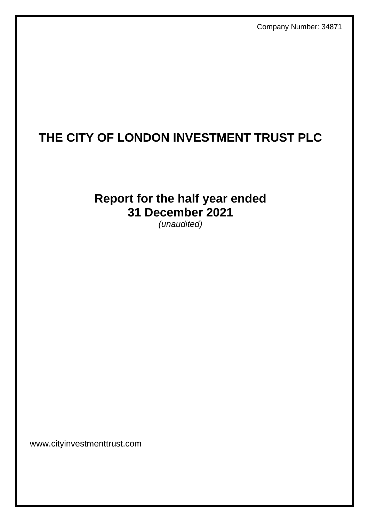Company Number: 34871

# **THE CITY OF LONDON INVESTMENT TRUST PLC**

# **Report for the half year ended 31 December 2021**

*(unaudited)*

www.cityinvestmenttrust.com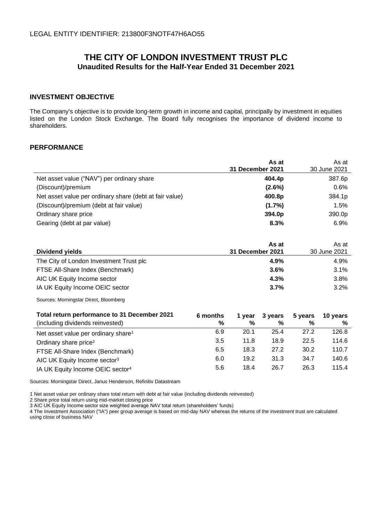# **THE CITY OF LONDON INVESTMENT TRUST PLC Unaudited Results for the Half-Year Ended 31 December 2021**

### **INVESTMENT OBJECTIVE**

The Company's objective is to provide long-term growth in income and capital, principally by investment in equities listed on the London Stock Exchange. The Board fully recognises the importance of dividend income to shareholders.

### **PERFORMANCE**

|                                                         | As at            | As at        |
|---------------------------------------------------------|------------------|--------------|
|                                                         | 31 December 2021 | 30 June 2021 |
| Net asset value ("NAV") per ordinary share              | 404.4p           | 387.6p       |
| (Discount)/premium                                      | $(2.6\%)$        | 0.6%         |
| Net asset value per ordinary share (debt at fair value) | 400.8p           | 384.1p       |
| (Discount)/premium (debt at fair value)                 | (1.7%)           | 1.5%         |
| Ordinary share price                                    | 394.0p           | 390.0p       |
| Gearing (debt at par value)                             | 8.3%             | 6.9%         |

|                                         | As at            | As at        |
|-----------------------------------------|------------------|--------------|
| Dividend yields                         | 31 December 2021 | 30 June 2021 |
| The City of London Investment Trust plc | 4.9%             | 4.9%         |
| FTSE All-Share Index (Benchmark)        | 3.6%             | 3.1%         |
| AIC UK Equity Income sector             | 4.3%             | $3.8\%$      |
| IA UK Equity Income OEIC sector         | 3.7%             | 3.2%         |

Sources: Morningstar Direct, Bloomberg

| Total return performance to 31 December 2021    | 6 months | 1 vear | 3 years | 5 years | 10 vears |
|-------------------------------------------------|----------|--------|---------|---------|----------|
| (including dividends reinvested)                | %        | %      | %       | %       | %        |
| Net asset value per ordinary share <sup>1</sup> | 6.9      | 20.1   | 25.4    | 27.2    | 126.8    |
| Ordinary share price <sup>2</sup>               | 3.5      | 11.8   | 18.9    | 22.5    | 114.6    |
| FTSE All-Share Index (Benchmark)                | 6.5      | 18.3   | 27.2    | 30.2    | 110.7    |
| AIC UK Equity Income sector <sup>3</sup>        | 6.0      | 19.2   | 31.3    | 34.7    | 140.6    |
| IA UK Equity Income OEIC sector <sup>4</sup>    | 5.6      | 18.4   | 26.7    | 26.3    | 115.4    |

Sources: Morningstar Direct, Janus Henderson, Refinitiv Datastream

1 Net asset value per ordinary share total return with debt at fair value (including dividends reinvested)

2 Share price total return using mid-market closing price

3 AIC UK Equity Income sector size weighted average NAV total return (shareholders' funds)

4 The Investment Association ("IA") peer group average is based on mid-day NAV whereas the returns of the investment trust are calculated using close of business NAV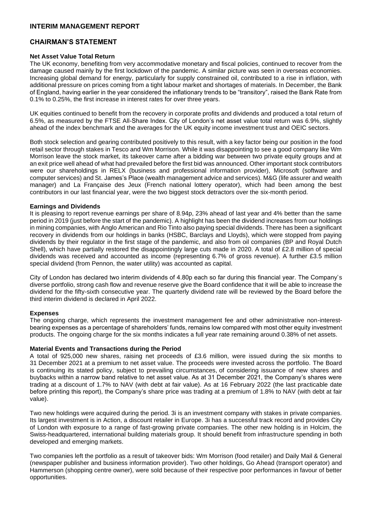### **INTERIM MANAGEMENT REPORT**

### **CHAIRMAN'S STATEMENT**

### **Net Asset Value Total Return**

The UK economy, benefiting from very accommodative monetary and fiscal policies, continued to recover from the damage caused mainly by the first lockdown of the pandemic. A similar picture was seen in overseas economies. Increasing global demand for energy, particularly for supply constrained oil, contributed to a rise in inflation, with additional pressure on prices coming from a tight labour market and shortages of materials. In December, the Bank of England, having earlier in the year considered the inflationary trends to be "transitory", raised the Bank Rate from 0.1% to 0.25%, the first increase in interest rates for over three years.

UK equities continued to benefit from the recovery in corporate profits and dividends and produced a total return of 6.5%, as measured by the FTSE All-Share Index. City of London's net asset value total return was 6.9%, slightly ahead of the index benchmark and the averages for the UK equity income investment trust and OEIC sectors.

Both stock selection and gearing contributed positively to this result, with a key factor being our position in the food retail sector through stakes in Tesco and Wm Morrison. While it was disappointing to see a good company like Wm Morrison leave the stock market, its takeover came after a bidding war between two private equity groups and at an exit price well ahead of what had prevailed before the first bid was announced. Other important stock contributors were our shareholdings in RELX (business and professional information provider), Microsoft (software and computer services) and St. James's Place (wealth management advice and services). M&G (life assurer and wealth manager) and La Française des Jeux (French national lottery operator), which had been among the best contributors in our last financial year, were the two biggest stock detractors over the six-month period.

### **Earnings and Dividends**

It is pleasing to report revenue earnings per share of 8.94p, 23% ahead of last year and 4% better than the same period in 2019 (just before the start of the pandemic). A highlight has been the dividend increases from our holdings in mining companies, with Anglo American and Rio Tinto also paying special dividends. There has been a significant recovery in dividends from our holdings in banks (HSBC, Barclays and Lloyds), which were stopped from paying dividends by their regulator in the first stage of the pandemic, and also from oil companies (BP and Royal Dutch Shell), which have partially restored the disappointingly large cuts made in 2020. A total of £2.8 million of special dividends was received and accounted as income (representing 6.7% of gross revenue). A further £3.5 million special dividend (from Pennon, the water utility) was accounted as capital.

City of London has declared two interim dividends of 4.80p each so far during this financial year. The Company's diverse portfolio, strong cash flow and revenue reserve give the Board confidence that it will be able to increase the dividend for the fifty-sixth consecutive year. The quarterly dividend rate will be reviewed by the Board before the third interim dividend is declared in April 2022.

### **Expenses**

The ongoing charge, which represents the investment management fee and other administrative non-interestbearing expenses as a percentage of shareholders' funds, remains low compared with most other equity investment products. The ongoing charge for the six months indicates a full year rate remaining around 0.38% of net assets.

### **Material Events and Transactions during the Period**

A total of 925,000 new shares, raising net proceeds of £3.6 million, were issued during the six months to 31 December 2021 at a premium to net asset value. The proceeds were invested across the portfolio. The Board is continuing its stated policy, subject to prevailing circumstances, of considering issuance of new shares and buybacks within a narrow band relative to net asset value. As at 31 December 2021, the Company's shares were trading at a discount of 1.7% to NAV (with debt at fair value). As at 16 February 2022 (the last practicable date before printing this report), the Company's share price was trading at a premium of 1.8% to NAV (with debt at fair value).

Two new holdings were acquired during the period. 3i is an investment company with stakes in private companies. Its largest investment is in Action, a discount retailer in Europe. 3i has a successful track record and provides City of London with exposure to a range of fast-growing private companies. The other new holding is in Holcim, the Swiss-headquartered, international building materials group. It should benefit from infrastructure spending in both developed and emerging markets.

Two companies left the portfolio as a result of takeover bids: Wm Morrison (food retailer) and Daily Mail & General (newspaper publisher and business information provider). Two other holdings, Go Ahead (transport operator) and Hammerson (shopping centre owner), were sold because of their respective poor performances in favour of better opportunities.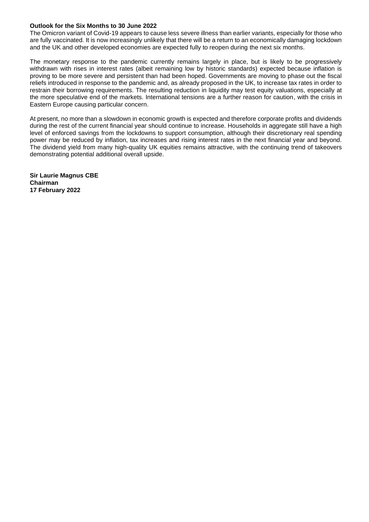### **Outlook for the Six Months to 30 June 2022**

The Omicron variant of Covid-19 appears to cause less severe illness than earlier variants, especially for those who are fully vaccinated. It is now increasingly unlikely that there will be a return to an economically damaging lockdown and the UK and other developed economies are expected fully to reopen during the next six months.

The monetary response to the pandemic currently remains largely in place, but is likely to be progressively withdrawn with rises in interest rates (albeit remaining low by historic standards) expected because inflation is proving to be more severe and persistent than had been hoped. Governments are moving to phase out the fiscal reliefs introduced in response to the pandemic and, as already proposed in the UK, to increase tax rates in order to restrain their borrowing requirements. The resulting reduction in liquidity may test equity valuations, especially at the more speculative end of the markets. International tensions are a further reason for caution, with the crisis in Eastern Europe causing particular concern.

At present, no more than a slowdown in economic growth is expected and therefore corporate profits and dividends during the rest of the current financial year should continue to increase. Households in aggregate still have a high level of enforced savings from the lockdowns to support consumption, although their discretionary real spending power may be reduced by inflation, tax increases and rising interest rates in the next financial year and beyond. The dividend yield from many high-quality UK equities remains attractive, with the continuing trend of takeovers demonstrating potential additional overall upside.

**Sir Laurie Magnus CBE Chairman 17 February 2022**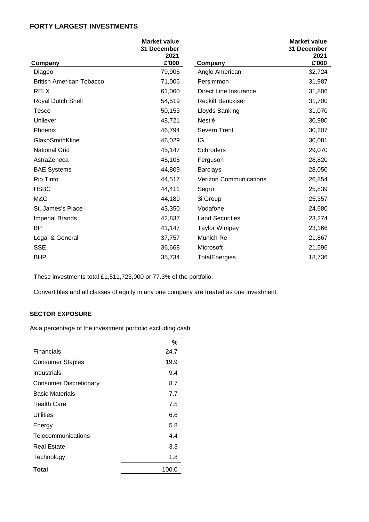# **FORTY LARGEST INVESTMENTS**

|                                 | <b>Market value</b><br>31 December<br>2021 |                               | <b>Market value</b><br>31 December<br>2021 |
|---------------------------------|--------------------------------------------|-------------------------------|--------------------------------------------|
| Company                         | £'000                                      | Company                       | £'000                                      |
| Diageo                          | 79,906                                     | Anglo American                | 32,724                                     |
| <b>British American Tobacco</b> | 71,006                                     | Persimmon                     | 31,987                                     |
| <b>RELX</b>                     | 61,060                                     | Direct Line Insurance         | 31,806                                     |
| Royal Dutch Shell               | 54,519                                     | <b>Reckitt Benckiser</b>      | 31,700                                     |
| Tesco                           | 50,153                                     | Lloyds Banking                | 31,070                                     |
| Unilever                        | 48,721                                     | Nestlé                        | 30,980                                     |
| Phoenix                         | 46,794                                     | Severn Trent                  | 30,207                                     |
| GlaxoSmithKline                 | 46,029                                     | IG                            | 30,081                                     |
| <b>National Grid</b>            | 45,147                                     | Schroders                     | 29,070                                     |
| AstraZeneca                     | 45,105                                     | Ferguson                      | 28,820                                     |
| <b>BAE Systems</b>              | 44,809                                     | <b>Barclays</b>               | 28,050                                     |
| <b>Rio Tinto</b>                | 44,517                                     | <b>Verizon Communications</b> | 26,854                                     |
| <b>HSBC</b>                     | 44,411                                     | Segro                         | 25,839                                     |
| M&G                             | 44,189                                     | 3i Group                      | 25,357                                     |
| St. James's Place               | 43,350                                     | Vodafone                      | 24,680                                     |
| <b>Imperial Brands</b>          | 42,837                                     | <b>Land Securities</b>        | 23,274                                     |
| <b>BP</b>                       | 41,147                                     | <b>Taylor Wimpey</b>          | 23,166                                     |
| Legal & General                 | 37,757                                     | Munich Re                     | 21,867                                     |
| <b>SSE</b>                      | 36,668                                     | Microsoft                     | 21,596                                     |
| <b>BHP</b>                      | 35,734                                     | TotalEnergies                 | 18,736                                     |

These investments total £1,511,723,000 or 77.3% of the portfolio.

Convertibles and all classes of equity in any one company are treated as one investment.

# **SECTOR EXPOSURE**

As a percentage of the investment portfolio excluding cash

|                               | %     |
|-------------------------------|-------|
| Financials                    | 24.7  |
| <b>Consumer Staples</b>       | 19.9  |
| Industrials                   | 9.4   |
| <b>Consumer Discretionary</b> | 8.7   |
| <b>Basic Materials</b>        | 7.7   |
| <b>Health Care</b>            | 7.5   |
| Utilities                     | 6.8   |
| Energy                        | 5.8   |
| Telecommunications            | 4.4   |
| Real Estate                   | 3.3   |
| Technology                    | 1.8   |
| Total                         | 100.0 |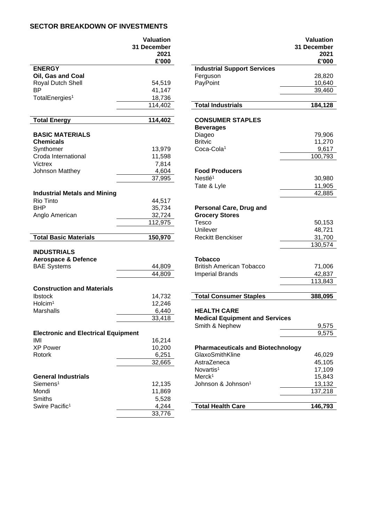# **SECTOR BREAKDOWN OF INVESTMENTS**

|                                            | <b>Valuation</b><br>31 December<br>2021 |                                          | 31 |
|--------------------------------------------|-----------------------------------------|------------------------------------------|----|
|                                            | £'000                                   |                                          |    |
| <b>ENERGY</b>                              |                                         | <b>Industrial Support Services</b>       |    |
| Oil, Gas and Coal                          |                                         | Ferguson                                 |    |
| Royal Dutch Shell                          | 54,519                                  | PayPoint                                 |    |
| <b>BP</b>                                  | 41,147                                  |                                          |    |
| TotalEnergies <sup>1</sup>                 | 18,736                                  |                                          |    |
|                                            | 114,402                                 | <b>Total Industrials</b>                 |    |
| <b>Total Energy</b>                        | 114,402                                 | <b>CONSUMER STAPLES</b>                  |    |
|                                            |                                         | <b>Beverages</b>                         |    |
| <b>BASIC MATERIALS</b>                     |                                         | Diageo                                   |    |
| <b>Chemicals</b>                           |                                         | <b>Britvic</b>                           |    |
| Synthomer                                  | 13,979                                  | Coca-Cola <sup>1</sup>                   |    |
| Croda International                        | 11,598                                  |                                          |    |
| <b>Victrex</b>                             | 7,814                                   |                                          |    |
| Johnson Matthey                            | 4,604                                   | <b>Food Producers</b>                    |    |
|                                            | 37,995                                  | Nestlé <sup>1</sup>                      |    |
|                                            |                                         | Tate & Lyle                              |    |
| <b>Industrial Metals and Mining</b>        |                                         |                                          |    |
| Rio Tinto                                  | 44,517                                  |                                          |    |
| <b>BHP</b>                                 | 35,734                                  | Personal Care, Drug and                  |    |
| Anglo American                             | 32,724                                  | <b>Grocery Stores</b>                    |    |
|                                            | 112,975                                 | Tesco                                    |    |
|                                            |                                         | Unilever                                 |    |
| <b>Total Basic Materials</b>               | 150,970                                 | <b>Reckitt Benckiser</b>                 |    |
| <b>INDUSTRIALS</b>                         |                                         |                                          |    |
| <b>Aerospace &amp; Defence</b>             |                                         | <b>Tobacco</b>                           |    |
| <b>BAE Systems</b>                         | 44,809                                  | <b>British American Tobacco</b>          |    |
|                                            | 44,809                                  | <b>Imperial Brands</b>                   |    |
|                                            |                                         |                                          |    |
| <b>Construction and Materials</b>          |                                         |                                          |    |
| <b>Ibstock</b>                             | 14,732                                  | <b>Total Consumer Staples</b>            |    |
| $H$ olcim <sup>1</sup>                     | 12,246                                  |                                          |    |
| Marshalls                                  | 6,440                                   | <b>HEALTH CARE</b>                       |    |
|                                            | 33,418                                  | <b>Medical Equipment and Services</b>    |    |
|                                            |                                         | Smith & Nephew                           |    |
| <b>Electronic and Electrical Equipment</b> |                                         |                                          |    |
| IMI                                        | 16,214                                  |                                          |    |
| <b>XP Power</b>                            | 10,200                                  | <b>Pharmaceuticals and Biotechnology</b> |    |
| Rotork                                     | 6,251                                   | GlaxoSmithKline                          |    |
|                                            | 32,665                                  | AstraZeneca                              |    |
|                                            |                                         | Novartis <sup>1</sup>                    |    |
| <b>General Industrials</b>                 |                                         | Merck <sup>1</sup>                       |    |
| Siemens <sup>1</sup>                       | 12,135                                  | Johnson & Johnson <sup>1</sup>           |    |
| Mondi                                      | 11,869                                  |                                          |    |
| Smiths                                     | 5,528                                   |                                          |    |
| Swire Pacific <sup>1</sup>                 | 4,244                                   | <b>Total Health Care</b>                 |    |
|                                            | 33,776                                  |                                          |    |
|                                            |                                         |                                          |    |

|                                            | <b>Valuation</b><br>31 December<br>2021<br>£'000 |                                          | <b>Valuation</b><br>31 December<br>2021<br>£'000 |
|--------------------------------------------|--------------------------------------------------|------------------------------------------|--------------------------------------------------|
| <b>ENERGY</b>                              |                                                  | <b>Industrial Support Services</b>       |                                                  |
| Oil, Gas and Coal                          |                                                  | Ferguson                                 | 28,820                                           |
| Royal Dutch Shell                          | 54,519                                           | PayPoint                                 | 10,640                                           |
| BΡ                                         | 41,147                                           |                                          | 39,460                                           |
| TotalEnergies <sup>1</sup>                 | 18,736                                           |                                          |                                                  |
|                                            | $\overline{11}4,402$                             | <b>Total Industrials</b>                 | 184,128                                          |
| <b>Total Energy</b>                        | 114,402                                          | <b>CONSUMER STAPLES</b>                  |                                                  |
|                                            |                                                  | <b>Beverages</b>                         |                                                  |
| <b>BASIC MATERIALS</b>                     |                                                  | Diageo                                   | 79,906                                           |
| Chemicals                                  |                                                  | <b>Britvic</b>                           | 11,270                                           |
| Synthomer                                  | 13,979                                           | Coca-Cola <sup>1</sup>                   | 9,617                                            |
| Croda International                        | 11,598                                           |                                          | 100,793                                          |
| Victrex                                    | 7,814                                            |                                          |                                                  |
| Johnson Matthey                            | 4,604                                            | <b>Food Producers</b>                    |                                                  |
|                                            | 37,995                                           | Nestlé <sup>1</sup>                      | 30,980                                           |
|                                            |                                                  | Tate & Lyle                              | 11,905                                           |
| <b>Industrial Metals and Mining</b>        |                                                  |                                          | 42,885                                           |
| <b>Rio Tinto</b>                           | 44,517                                           |                                          |                                                  |
| BHP                                        | 35,734                                           | <b>Personal Care, Drug and</b>           |                                                  |
| Anglo American                             | 32,724                                           | <b>Grocery Stores</b>                    |                                                  |
|                                            | 112,975                                          | <b>Tesco</b>                             | 50,153                                           |
|                                            |                                                  | Unilever                                 | 48,721                                           |
| <b>Total Basic Materials</b>               | 150,970                                          | <b>Reckitt Benckiser</b>                 | 31,700                                           |
|                                            |                                                  |                                          | 130,574                                          |
| <b>INDUSTRIALS</b>                         |                                                  |                                          |                                                  |
| <b>Aerospace &amp; Defence</b>             |                                                  | <b>Tobacco</b>                           |                                                  |
| <b>BAE Systems</b>                         | 44,809                                           | <b>British American Tobacco</b>          | 71,006                                           |
|                                            | 44,809                                           | <b>Imperial Brands</b>                   | 42,837                                           |
|                                            |                                                  |                                          | 113,843                                          |
| <b>Construction and Materials</b>          |                                                  |                                          |                                                  |
| Ibstock                                    | 14,732                                           | <b>Total Consumer Staples</b>            | 388,095                                          |
| Holcim <sup>1</sup>                        | 12,246                                           |                                          |                                                  |
| <b>Marshalls</b>                           | 6,440                                            | <b>HEALTH CARE</b>                       |                                                  |
|                                            | 33,418                                           | <b>Medical Equipment and Services</b>    |                                                  |
|                                            |                                                  | Smith & Nephew                           | 9,575                                            |
| <b>Electronic and Electrical Equipment</b> |                                                  |                                          | 9,575                                            |
| IMI                                        | 16,214                                           |                                          |                                                  |
| <b>XP Power</b>                            | 10,200                                           | <b>Pharmaceuticals and Biotechnology</b> |                                                  |
| Rotork                                     | 6,251                                            | GlaxoSmithKline                          | 46,029                                           |
|                                            | 32,665                                           | AstraZeneca                              | 45,105                                           |
|                                            |                                                  | Novartis <sup>1</sup>                    | 17,109                                           |
| <b>General Industrials</b>                 |                                                  | Merck <sup>1</sup>                       | 15,843                                           |
| Siemens <sup>1</sup>                       | 12,135                                           | Johnson & Johnson <sup>1</sup>           | 13,132                                           |
| Mondi                                      | 11,869                                           |                                          | 137,218                                          |
| <b>Smiths</b>                              | 5,528                                            |                                          |                                                  |
| Swire Pacific <sup>1</sup>                 | 4,244                                            | <b>Total Health Care</b>                 | 146,793                                          |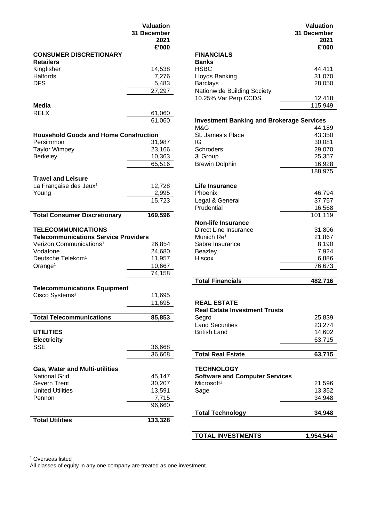|                                              | <b>Valuation</b> |                                                  | Valuation     |
|----------------------------------------------|------------------|--------------------------------------------------|---------------|
|                                              | 31 December      |                                                  | 31 December   |
|                                              | 2021<br>£'000    |                                                  | 2021<br>£'000 |
| <b>CONSUMER DISCRETIONARY</b>                |                  | <b>FINANCIALS</b>                                |               |
| <b>Retailers</b>                             |                  | <b>Banks</b>                                     |               |
| Kingfisher                                   | 14,538           | <b>HSBC</b>                                      | 44,411        |
| Halfords                                     | 7,276            | Lloyds Banking                                   | 31,070        |
| <b>DFS</b>                                   | 5,483            | <b>Barclays</b>                                  | 28,050        |
|                                              | 27,297           | Nationwide Building Society                      |               |
|                                              |                  | 10.25% Var Perp CCDS                             | 12,418        |
| Media                                        |                  |                                                  | 115,949       |
| <b>RELX</b>                                  | 61,060           |                                                  |               |
|                                              | 61,060           | <b>Investment Banking and Brokerage Services</b> |               |
|                                              |                  | M&G                                              | 44,189        |
| <b>Household Goods and Home Construction</b> |                  | St. James's Place                                | 43,350        |
| Persimmon                                    | 31,987           | IG                                               | 30,081        |
| <b>Taylor Wimpey</b>                         | 23,166           | Schroders                                        | 29,070        |
| Berkeley                                     | 10,363           | 3i Group                                         | 25,357        |
|                                              | 65,516           | <b>Brewin Dolphin</b>                            | 16,928        |
|                                              |                  |                                                  | 188,975       |
| <b>Travel and Leisure</b>                    |                  |                                                  |               |
|                                              | 12,728           | <b>Life Insurance</b>                            |               |
| La Française des Jeux <sup>1</sup><br>Young  |                  | Phoenix                                          | 46,794        |
|                                              | 2,995            |                                                  |               |
|                                              | 15,723           | Legal & General                                  | 37,757        |
|                                              |                  | Prudential                                       | 16,568        |
| <b>Total Consumer Discretionary</b>          | 169,596          |                                                  | 101,119       |
|                                              |                  | <b>Non-life Insurance</b>                        |               |
| <b>TELECOMMUNICATIONS</b>                    |                  | <b>Direct Line Insurance</b>                     | 31,806        |
| <b>Telecommunications Service Providers</b>  |                  | Munich Re <sup>1</sup>                           | 21,867        |
| Verizon Communications <sup>1</sup>          | 26,854           | Sabre Insurance                                  | 8,190         |
| Vodafone                                     | 24,680           | <b>Beazley</b>                                   | 7,924         |
| Deutsche Telekom <sup>1</sup>                | 11,957           | Hiscox                                           | 6,886         |
| Orange <sup>1</sup>                          | 10,667           |                                                  | 76,673        |
|                                              | 74,158           |                                                  |               |
|                                              |                  | <b>Total Financials</b>                          | 482,716       |
| <b>Telecommunications Equipment</b>          |                  |                                                  |               |
| Cisco Systems <sup>1</sup>                   | 11,695           |                                                  |               |
|                                              | 11,695           | <b>REAL ESTATE</b>                               |               |
|                                              |                  | <b>Real Estate Investment Trusts</b>             |               |
| <b>Total Telecommunications</b>              | 85,853           | Segro                                            | 25,839        |
|                                              |                  | <b>Land Securities</b>                           | 23,274        |
| <b>UTILITIES</b>                             |                  | <b>British Land</b>                              | 14,602        |
| <b>Electricity</b>                           |                  |                                                  | 63,715        |
| <b>SSE</b>                                   | 36,668           |                                                  |               |
|                                              | 36,668           | <b>Total Real Estate</b>                         | 63,715        |
|                                              |                  |                                                  |               |
| <b>Gas, Water and Multi-utilities</b>        |                  | <b>TECHNOLOGY</b>                                |               |
| <b>National Grid</b>                         | 45,147           | <b>Software and Computer Services</b>            |               |
| Severn Trent                                 | 30,207           | Microsoft <sup>1</sup>                           | 21,596        |
| <b>United Utilities</b>                      | 13,591           | Sage                                             | 13,352        |
| Pennon                                       | 7,715            |                                                  | 34,948        |
|                                              | 96,660           |                                                  |               |
|                                              |                  | <b>Total Technology</b>                          | 34,948        |
| <b>Total Utilities</b>                       | 133,328          |                                                  |               |
|                                              |                  |                                                  |               |

| uation<br>ember<br>2021<br>£'000 |                                    | <b>Valuation</b><br>31 December<br>2021<br>£'000 |
|----------------------------------|------------------------------------|--------------------------------------------------|
|                                  | <b>FINANCIALS</b>                  |                                                  |
|                                  | <b>Banks</b>                       |                                                  |
| 14,538                           | <b>HSBC</b>                        | 44,411                                           |
| 7,276                            | Lloyds Banking                     | 31,070                                           |
| 5,483                            | <b>Barclays</b>                    | 28,050                                           |
| 27,297                           | <b>Nationwide Building Society</b> |                                                  |
|                                  | 10.25% Var Perp CCDS               | 12,418                                           |
|                                  |                                    | 115,949                                          |
|                                  |                                    |                                                  |

# 61,060 **Investment Banking and Brokerage Services** 44,189<br>43,350 **St. James's Place IG** Brewin Dolphin 16,928 188,975 **Life Insurance** Legal & General 37,757<br>Prudential 37,757<br>16,568 Prudential 16,568<br>101,119 **Non-life Insurance TELECOMMUNICATION CONTREPT 15 SOCIETY 121,806<br>
<b>TELECOMMUNICATION**<br> **TELECOMMUNICATION**<br> **TELECOMMUNICATION**<br> **TELECOMMUNICATION** Verified Communications1 26,190<br>Beazley 7,924 **Total Financials 482,716 REAL ESTATE Real Estate Investment Trusts** Land Securities 23,274<br>British Land 14.602 36,668 **Total Real Estate 63,715 Gas, Water and Multi-utilities TECHNOLOGY**

| .<br><b>Software and Computer Services</b> |        |
|--------------------------------------------|--------|
| Microsoft <sup>1</sup>                     | 21,596 |
| Sage                                       | 13,352 |
|                                            | 34.948 |
|                                            |        |
| <b>Total Technology</b>                    | 34,948 |
|                                            |        |
|                                            |        |

**TOTAL INVESTMENTS 1,954,544**

<sup>1</sup> Overseas listed

All classes of equity in any one company are treated as one investment.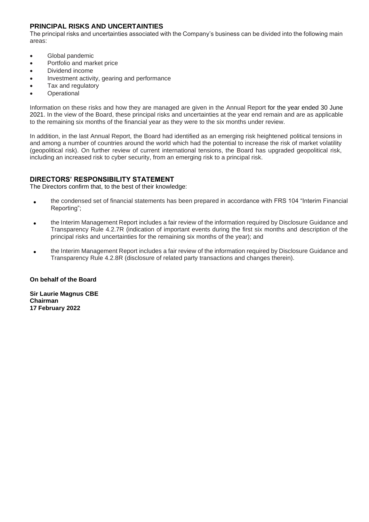# **PRINCIPAL RISKS AND UNCERTAINTIES**

The principal risks and uncertainties associated with the Company's business can be divided into the following main areas:

- Global pandemic
- Portfolio and market price
- Dividend income
- Investment activity, gearing and performance
- Tax and regulatory
- **Operational**

Information on these risks and how they are managed are given in the Annual Report for the year ended 30 June 2021. In the view of the Board, these principal risks and uncertainties at the year end remain and are as applicable to the remaining six months of the financial year as they were to the six months under review.

In addition, in the last Annual Report, the Board had identified as an emerging risk heightened political tensions in and among a number of countries around the world which had the potential to increase the risk of market volatility (geopolitical risk). On further review of current international tensions, the Board has upgraded geopolitical risk, including an increased risk to cyber security, from an emerging risk to a principal risk.

# **DIRECTORS' RESPONSIBILITY STATEMENT**

The Directors confirm that, to the best of their knowledge:

- the condensed set of financial statements has been prepared in accordance with FRS 104 "Interim Financial Reporting";
- the Interim Management Report includes a fair review of the information required by Disclosure Guidance and Transparency Rule 4.2.7R (indication of important events during the first six months and description of the principal risks and uncertainties for the remaining six months of the year); and
- the Interim Management Report includes a fair review of the information required by Disclosure Guidance and Transparency Rule 4.2.8R (disclosure of related party transactions and changes therein).

### **On behalf of the Board**

**Sir Laurie Magnus CBE Chairman 17 February 2022**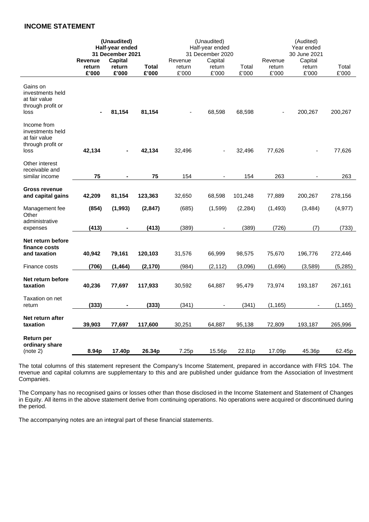# **INCOME STATEMENT**

|                                                                               | (Unaudited)<br>Half-year ended<br>31 December 2021 |                            | (Unaudited)<br>Half-year ended<br>31 December 2020 |                            |                            | (Audited)<br>Year ended<br>30 June 2021 |                            |                            |                |
|-------------------------------------------------------------------------------|----------------------------------------------------|----------------------------|----------------------------------------------------|----------------------------|----------------------------|-----------------------------------------|----------------------------|----------------------------|----------------|
|                                                                               | <b>Revenue</b><br>return<br>£'000                  | Capital<br>return<br>£'000 | Total<br>£'000                                     | Revenue<br>return<br>£'000 | Capital<br>return<br>£'000 | Total<br>£'000                          | Revenue<br>return<br>£'000 | Capital<br>return<br>£'000 | Total<br>£'000 |
| Gains on<br>investments held<br>at fair value<br>through profit or<br>loss    |                                                    | 81,154                     | 81,154                                             |                            | 68,598                     | 68,598                                  |                            | 200,267                    | 200,267        |
| Income from<br>investments held<br>at fair value<br>through profit or<br>loss | 42,134                                             |                            | 42,134                                             | 32,496                     |                            | 32,496                                  | 77,626                     |                            | 77,626         |
| Other interest<br>receivable and<br>similar income                            | 75                                                 |                            | 75                                                 | 154                        |                            | 154                                     | 263                        |                            | 263            |
| <b>Gross revenue</b><br>and capital gains                                     | 42,209                                             | 81,154                     | 123,363                                            | 32,650                     | 68,598                     | 101,248                                 | 77,889                     | 200,267                    | 278,156        |
| Management fee<br>Other<br>administrative                                     | (854)                                              | (1,993)                    | (2, 847)                                           | (685)                      | (1,599)                    | (2, 284)                                | (1, 493)                   | (3, 484)                   | (4, 977)       |
| expenses                                                                      | (413)                                              |                            | (413)                                              | (389)                      |                            | (389)                                   | (726)                      | (7)                        | (733)          |
| Net return before<br>finance costs<br>and taxation                            | 40,942                                             | 79,161                     | 120,103                                            | 31,576                     | 66,999                     | 98,575                                  | 75,670                     | 196,776                    | 272,446        |
| Finance costs                                                                 | (706)                                              | (1, 464)                   | (2, 170)                                           | (984)                      | (2, 112)                   | (3,096)                                 | (1,696)                    | (3,589)                    | (5, 285)       |
| Net return before<br>taxation                                                 | 40,236                                             | 77,697                     | 117,933                                            | 30,592                     | 64,887                     | 95,479                                  | 73,974                     | 193,187                    | 267,161        |
| Taxation on net<br>return                                                     | (333)                                              |                            | (333)                                              | (341)                      |                            | (341)                                   | (1, 165)                   |                            | (1, 165)       |
| Net return after<br>taxation                                                  | 39,903                                             | 77,697                     | 117,600                                            | 30,251                     | 64,887                     | 95,138                                  | 72,809                     | 193,187                    | 265,996        |
| Return per<br>ordinary share<br>(note 2)                                      | 8.94p                                              | 17.40p                     | 26.34p                                             | 7.25p                      | 15.56p                     | 22.81p                                  | 17.09p                     | 45.36p                     | 62.45p         |

The total columns of this statement represent the Company's Income Statement, prepared in accordance with FRS 104. The revenue and capital columns are supplementary to this and are published under guidance from the Association of Investment Companies.

The Company has no recognised gains or losses other than those disclosed in the Income Statement and Statement of Changes in Equity. All items in the above statement derive from continuing operations. No operations were acquired or discontinued during the period.

The accompanying notes are an integral part of these financial statements.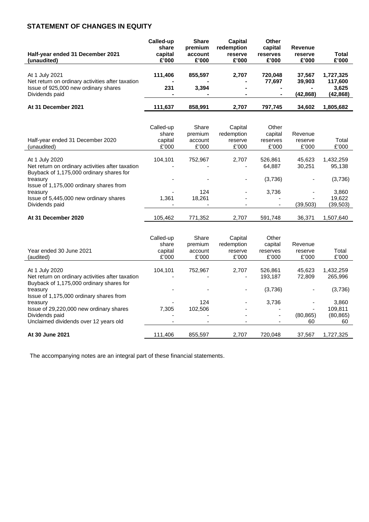# **STATEMENT OF CHANGES IN EQUITY**

| Called-up<br>share<br>capital<br>£'000 | <b>Share</b><br>premium<br>account<br>£'000 | Capital<br>redemption<br>reserve<br>£'000 | <b>Other</b><br>capital<br>reserves<br>£'000 | Revenue<br>reserve<br>£'000 | Total<br>£'000 |
|----------------------------------------|---------------------------------------------|-------------------------------------------|----------------------------------------------|-----------------------------|----------------|
|                                        |                                             |                                           |                                              |                             |                |
|                                        |                                             |                                           |                                              |                             | 1,727,325      |
| $\blacksquare$                         |                                             | $\overline{\phantom{0}}$                  | 77.697                                       | 39,903                      | 117,600        |
| 231                                    | 3,394                                       | $\sim$                                    | $\blacksquare$                               |                             | 3,625          |
| $\blacksquare$                         | $\blacksquare$                              |                                           | $\blacksquare$                               | (42, 868)                   | (42, 868)      |
| 111,637                                | 858,991                                     | 2,707                                     | 797,745                                      | 34,602                      | 1,805,682      |
|                                        | 111.406                                     | 855.597                                   | 2.707                                        | 720.048                     | 37,567         |

| Half-year ended 31 December 2020<br>(unaudited)                                                                | Called-up<br>share<br>capital<br>£'000 | Share<br>premium<br>account<br>£'000 | Capital<br>redemption<br>reserve<br>£'000 | Other<br>capital<br>reserves<br>£'000 | Revenue<br>reserve<br>£'000 | Total<br>£'000      |
|----------------------------------------------------------------------------------------------------------------|----------------------------------------|--------------------------------------|-------------------------------------------|---------------------------------------|-----------------------------|---------------------|
| At 1 July 2020<br>Net return on ordinary activities after taxation<br>Buyback of 1,175,000 ordinary shares for | 104.101                                | 752.967                              | 2.707                                     | 526.861<br>64.887                     | 45.623<br>30.251            | 1,432,259<br>95,138 |
| treasury<br>Issue of 1,175,000 ordinary shares from                                                            |                                        |                                      |                                           | (3,736)                               |                             | (3,736)             |
| treasury                                                                                                       |                                        | 124                                  |                                           | 3,736                                 |                             | 3.860               |
| Issue of 5,445,000 new ordinary shares                                                                         | 1.361                                  | 18.261                               |                                           | -                                     |                             | 19.622              |
| Dividends paid                                                                                                 |                                        |                                      |                                           | ۰.                                    | (39, 503)                   | (39,503)            |
| At 31 December 2020                                                                                            | 105.462                                | 771.352                              | 2.707                                     | 591.748                               | 36.371                      | 1.507.640           |

| Year ended 30 June 2021<br>(audited)                                                                           | Called-up<br>share<br>capital<br>£'000 | Share<br>premium<br>account<br>£'000 | Capital<br>redemption<br>reserve<br>£'000 | Other<br>capital<br>reserves<br>£'000 | Revenue<br>reserve<br>£'000 | Total<br>£'000       |
|----------------------------------------------------------------------------------------------------------------|----------------------------------------|--------------------------------------|-------------------------------------------|---------------------------------------|-----------------------------|----------------------|
| At 1 July 2020<br>Net return on ordinary activities after taxation<br>Buyback of 1,175,000 ordinary shares for | 104.101                                | 752.967                              | 2,707<br>٠                                | 526,861<br>193.187                    | 45.623<br>72,809            | 1,432,259<br>265.996 |
| treasury<br>Issue of 1,175,000 ordinary shares from                                                            |                                        |                                      |                                           | (3,736)                               |                             | (3,736)              |
| treasury                                                                                                       |                                        | 124                                  |                                           | 3,736                                 |                             | 3.860                |
| Issue of 29,220,000 new ordinary shares                                                                        | 7.305                                  | 102,506                              |                                           | -                                     | ۰.                          | 109.811              |
| Dividends paid                                                                                                 |                                        |                                      |                                           |                                       | (80, 865)                   | (80, 865)            |
| Unclaimed dividends over 12 years old                                                                          |                                        |                                      |                                           |                                       | 60                          | 60                   |
| At 30 June 2021                                                                                                | 111,406                                | 855,597                              | 2,707                                     | 720,048                               | 37.567                      | 1,727,325            |

The accompanying notes are an integral part of these financial statements.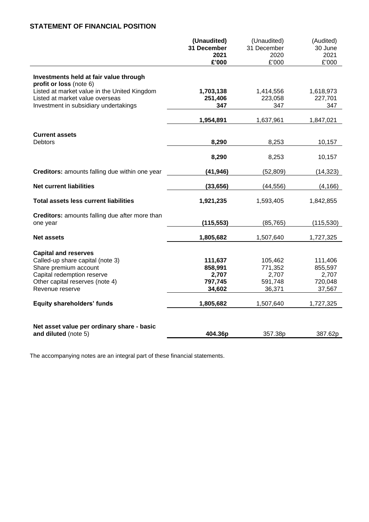# **STATEMENT OF FINANCIAL POSITION**

|                                                                         | (Unaudited) | (Unaudited) | (Audited)  |
|-------------------------------------------------------------------------|-------------|-------------|------------|
|                                                                         | 31 December | 31 December | 30 June    |
|                                                                         | 2021        | 2020        | 2021       |
|                                                                         | £'000       | £'000       | £'000      |
| Investments held at fair value through                                  |             |             |            |
| profit or loss (note 6)<br>Listed at market value in the United Kingdom | 1,703,138   | 1,414,556   | 1,618,973  |
| Listed at market value overseas                                         | 251,406     | 223,058     | 227,701    |
| Investment in subsidiary undertakings                                   | 347         | 347         | 347        |
|                                                                         |             |             |            |
|                                                                         | 1,954,891   | 1,637,961   | 1,847,021  |
| <b>Current assets</b>                                                   |             |             |            |
| <b>Debtors</b>                                                          | 8,290       | 8,253       | 10,157     |
|                                                                         | 8,290       | 8,253       | 10,157     |
| Creditors: amounts falling due within one year                          | (41, 946)   | (52, 809)   | (14, 323)  |
| <b>Net current liabilities</b>                                          | (33, 656)   | (44, 556)   | (4, 166)   |
|                                                                         |             |             |            |
| <b>Total assets less current liabilities</b>                            | 1,921,235   | 1,593,405   | 1,842,855  |
| Creditors: amounts falling due after more than                          |             |             |            |
| one year                                                                | (115, 553)  | (85, 765)   | (115, 530) |
| <b>Net assets</b>                                                       | 1,805,682   | 1,507,640   | 1,727,325  |
| <b>Capital and reserves</b>                                             |             |             |            |
| Called-up share capital (note 3)                                        | 111,637     | 105,462     | 111,406    |
| Share premium account                                                   | 858,991     | 771,352     | 855,597    |
| Capital redemption reserve                                              | 2,707       | 2,707       | 2,707      |
| Other capital reserves (note 4)                                         | 797,745     | 591,748     | 720,048    |
| Revenue reserve                                                         | 34,602      | 36,371      | 37,567     |
| <b>Equity shareholders' funds</b>                                       | 1,805,682   | 1,507,640   | 1,727,325  |
|                                                                         |             |             |            |
| Net asset value per ordinary share - basic                              |             |             |            |
| and diluted (note 5)                                                    | 404.36p     | 357.38p     | 387.62p    |

The accompanying notes are an integral part of these financial statements.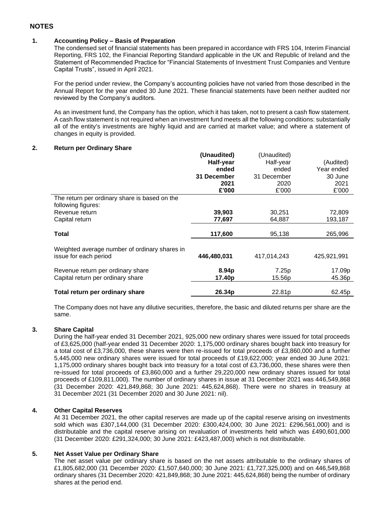# **NOTES**

### **1. Accounting Policy – Basis of Preparation**

The condensed set of financial statements has been prepared in accordance with FRS 104, Interim Financial Reporting, FRS 102, the Financial Reporting Standard applicable in the UK and Republic of Ireland and the Statement of Recommended Practice for "Financial Statements of Investment Trust Companies and Venture Capital Trusts", issued in April 2021.

For the period under review, the Company's accounting policies have not varied from those described in the Annual Report for the year ended 30 June 2021. These financial statements have been neither audited nor reviewed by the Company's auditors.

As an investment fund, the Company has the option, which it has taken, not to present a cash flow statement. A cash flow statement is not required when an investment fund meets all the following conditions: substantially all of the entity's investments are highly liquid and are carried at market value; and where a statement of changes in equity is provided.

### **2. Return per Ordinary Share**

|                                               | (Unaudited) | (Unaudited) |             |
|-----------------------------------------------|-------------|-------------|-------------|
|                                               | Half-year   | Half-year   | (Audited)   |
|                                               | ended       | ended       | Year ended  |
|                                               | 31 December | 31 December | 30 June     |
|                                               | 2021        | 2020        | 2021        |
|                                               | £'000       | £'000       | £'000       |
| The return per ordinary share is based on the |             |             |             |
| following figures:                            |             |             |             |
| Revenue return                                | 39,903      | 30,251      | 72,809      |
| Capital return                                | 77,697      | 64,887      | 193,187     |
|                                               |             |             |             |
|                                               |             |             |             |
| <b>Total</b>                                  | 117,600     | 95,138      | 265,996     |
|                                               |             |             |             |
| Weighted average number of ordinary shares in |             |             |             |
| issue for each period                         | 446,480,031 | 417,014,243 | 425,921,991 |
| Revenue return per ordinary share             | 8.94p       | 7.25p       | 17.09p      |
| Capital return per ordinary share             | 17.40p      | 15.56p      | 45.36p      |
| Total return per ordinary share               | 26.34p      | 22.81p      | 62.45p      |

The Company does not have any dilutive securities, therefore, the basic and diluted returns per share are the same.

### **3. Share Capital**

During the half-year ended 31 December 2021, 925,000 new ordinary shares were issued for total proceeds of £3,625,000 (half-year ended 31 December 2020: 1,175,000 ordinary shares bought back into treasury for a total cost of £3,736,000, these shares were then re-issued for total proceeds of £3,860,000 and a further 5,445,000 new ordinary shares were issued for total proceeds of £19,622,000; year ended 30 June 2021: 1,175,000 ordinary shares bought back into treasury for a total cost of £3,736,000, these shares were then re-issued for total proceeds of £3,860,000 and a further 29,220,000 new ordinary shares issued for total proceeds of £109,811,000). The number of ordinary shares in issue at 31 December 2021 was 446,549,868 (31 December 2020: 421,849,868; 30 June 2021: 445,624,868). There were no shares in treasury at 31 December 2021 (31 December 2020 and 30 June 2021: nil).

### **4. Other Capital Reserves**

At 31 December 2021, the other capital reserves are made up of the capital reserve arising on investments sold which was £307,144,000 (31 December 2020: £300,424,000; 30 June 2021: £296,561,000) and is distributable and the capital reserve arising on revaluation of investments held which was £490,601,000 (31 December 2020: £291,324,000; 30 June 2021: £423,487,000) which is not distributable.

### **5. Net Asset Value per Ordinary Share**

The net asset value per ordinary share is based on the net assets attributable to the ordinary shares of £1,805,682,000 (31 December 2020: £1,507,640,000; 30 June 2021: £1,727,325,000) and on 446,549,868 ordinary shares (31 December 2020: 421,849,868; 30 June 2021: 445,624,868) being the number of ordinary shares at the period end.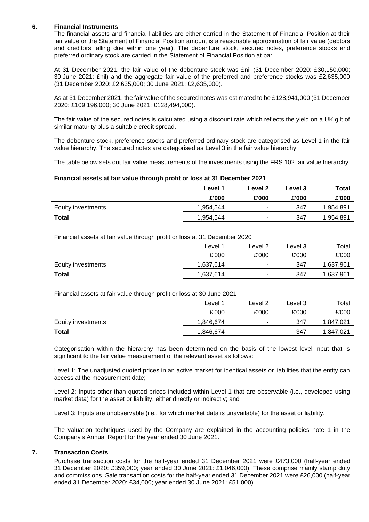### **6. Financial Instruments**

The financial assets and financial liabilities are either carried in the Statement of Financial Position at their fair value or the Statement of Financial Position amount is a reasonable approximation of fair value (debtors and creditors falling due within one year). The debenture stock, secured notes, preference stocks and preferred ordinary stock are carried in the Statement of Financial Position at par.

At 31 December 2021, the fair value of the debenture stock was £nil (31 December 2020: £30,150,000; 30 June 2021: £nil) and the aggregate fair value of the preferred and preference stocks was £2,635,000 (31 December 2020: £2,635,000; 30 June 2021: £2,635,000).

As at 31 December 2021, the fair value of the secured notes was estimated to be £128,941,000 (31 December 2020: £109,196,000; 30 June 2021: £128,494,000).

The fair value of the secured notes is calculated using a discount rate which reflects the yield on a UK gilt of similar maturity plus a suitable credit spread.

The debenture stock, preference stocks and preferred ordinary stock are categorised as Level 1 in the fair value hierarchy. The secured notes are categorised as Level 3 in the fair value hierarchy.

The table below sets out fair value measurements of the investments using the FRS 102 fair value hierarchy.

### **Financial assets at fair value through profit or loss at 31 December 2021**

|                    | Level 1   | Level 2        | Level 3 | Total     |
|--------------------|-----------|----------------|---------|-----------|
|                    | £'000     | £'000          | £'000   | £'000     |
| Equity investments | 1,954,544 | ۰              | 347     | 1,954,891 |
| Total              | 1,954,544 | $\blacksquare$ | 347     | 1,954,891 |

Financial assets at fair value through profit or loss at 31 December 2020

|                    | Level <sup>1</sup> | Level 2 | ∟evel 3 | Total     |
|--------------------|--------------------|---------|---------|-----------|
|                    | £'000              | £'000   | £'000   | £'000     |
| Equity investments | 1,637,614          | ۰.      | 347     | 1,637,961 |
| <b>Total</b>       | 1,637,614          | ۰       | 347     | 1,637,961 |

Financial assets at fair value through profit or loss at 30 June 2021

| $\tilde{\phantom{a}}$ |           |                          |         |          |
|-----------------------|-----------|--------------------------|---------|----------|
|                       | Level 1   | Level 2                  | Level 3 | Total    |
|                       | £'000     | £'000                    | £'000   | £'000    |
| Equity investments    | 1,846,674 | $\sim$                   | 347     | ,847,021 |
| <b>Total</b>          | 1,846,674 | $\overline{\phantom{a}}$ | 347     | ,847,021 |

Categorisation within the hierarchy has been determined on the basis of the lowest level input that is significant to the fair value measurement of the relevant asset as follows:

Level 1: The unadjusted quoted prices in an active market for identical assets or liabilities that the entity can access at the measurement date;

Level 2: Inputs other than quoted prices included within Level 1 that are observable (i.e., developed using market data) for the asset or liability, either directly or indirectly; and

Level 3: Inputs are unobservable (i.e., for which market data is unavailable) for the asset or liability.

The valuation techniques used by the Company are explained in the accounting policies note 1 in the Company's Annual Report for the year ended 30 June 2021.

### **7. Transaction Costs**

Purchase transaction costs for the half-year ended 31 December 2021 were £473,000 (half-year ended 31 December 2020: £359,000; year ended 30 June 2021: £1,046,000). These comprise mainly stamp duty and commissions. Sale transaction costs for the half-year ended 31 December 2021 were £26,000 (half-year ended 31 December 2020: £34,000; year ended 30 June 2021: £51,000).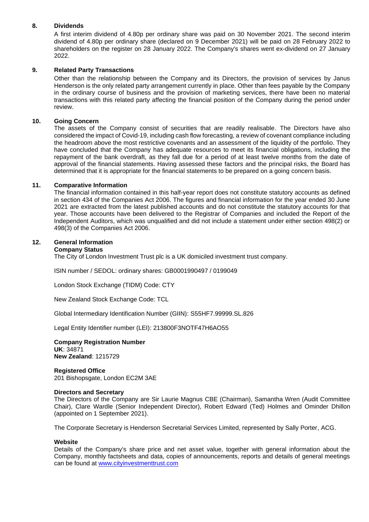### **8. Dividends**

A first interim dividend of 4.80p per ordinary share was paid on 30 November 2021. The second interim dividend of 4.80p per ordinary share (declared on 9 December 2021) will be paid on 28 February 2022 to shareholders on the register on 28 January 2022. The Company's shares went ex-dividend on 27 January 2022.

### **9. Related Party Transactions**

Other than the relationship between the Company and its Directors, the provision of services by Janus Henderson is the only related party arrangement currently in place. Other than fees payable by the Company in the ordinary course of business and the provision of marketing services, there have been no material transactions with this related party affecting the financial position of the Company during the period under review.

### **10. Going Concern**

The assets of the Company consist of securities that are readily realisable. The Directors have also considered the impact of Covid-19, including cash flow forecasting, a review of covenant compliance including the headroom above the most restrictive covenants and an assessment of the liquidity of the portfolio. They have concluded that the Company has adequate resources to meet its financial obligations, including the repayment of the bank overdraft, as they fall due for a period of at least twelve months from the date of approval of the financial statements. Having assessed these factors and the principal risks, the Board has determined that it is appropriate for the financial statements to be prepared on a going concern basis.

### **11. Comparative Information**

The financial information contained in this half-year report does not constitute statutory accounts as defined in section 434 of the Companies Act 2006. The figures and financial information for the year ended 30 June 2021 are extracted from the latest published accounts and do not constitute the statutory accounts for that year. Those accounts have been delivered to the Registrar of Companies and included the Report of the Independent Auditors, which was unqualified and did not include a statement under either section 498(2) or 498(3) of the Companies Act 2006.

### **12. General Information**

#### **Company Status**

The City of London Investment Trust plc is a UK domiciled investment trust company.

ISIN number / SEDOL: ordinary shares: GB0001990497 / 0199049

London Stock Exchange (TIDM) Code: CTY

New Zealand Stock Exchange Code: TCL

Global Intermediary Identification Number (GIIN): S55HF7.99999.SL.826

Legal Entity Identifier number (LEI): 213800F3NOTF47H6AO55

**Company Registration Number UK**: 34871 **New Zealand**: 1215729

**Registered Office** 201 Bishopsgate, London EC2M 3AE

#### **Directors and Secretary**

The Directors of the Company are Sir Laurie Magnus CBE (Chairman), Samantha Wren (Audit Committee Chair), Clare Wardle (Senior Independent Director), Robert Edward (Ted) Holmes and Ominder Dhillon (appointed on 1 September 2021).

The Corporate Secretary is Henderson Secretarial Services Limited, represented by Sally Porter, ACG.

### **Website**

Details of the Company's share price and net asset value, together with general information about the Company, monthly factsheets and data, copies of announcements, reports and details of general meetings can be found at [www.cityinvestmenttrust.com](http://www.cityinvestmenttrust.com/)